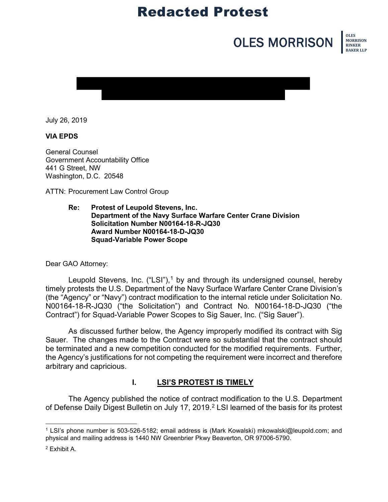# Redacted Protest

# **OLES MORRISON EXISTS**





July 26, 2019

#### **VIA EPDS**

General Counsel Government Accountability Office 441 G Street, NW Washington, D.C. 20548

ATTN: Procurement Law Control Group

**Re: Protest of Leupold Stevens, Inc. Department of the Navy Surface Warfare Center Crane Division Solicitation Number N00164-18-R-JQ30 Award Number N00164-18-D-JQ30 Squad-Variable Power Scope**

Dear GAO Attorney:

Leupold Stevens, Inc.  $("LSI"),$ <sup>[1](#page-0-0)</sup> by and through its undersigned counsel, hereby timely protests the U.S. Department of the Navy Surface Warfare Center Crane Division's (the "Agency" or "Navy") contract modification to the internal reticle under Solicitation No. N00164-18-R-JQ30 ("the Solicitation") and Contract No. N00164-18-D-JQ30 ("the Contract") for Squad-Variable Power Scopes to Sig Sauer, Inc. ("Sig Sauer").

As discussed further below, the Agency improperly modified its contract with Sig Sauer. The changes made to the Contract were so substantial that the contract should be terminated and a new competition conducted for the modified requirements. Further, the Agency's justifications for not competing the requirement were incorrect and therefore arbitrary and capricious.

#### **I. LSI'S PROTEST IS TIMELY**

The Agency published the notice of contract modification to the U.S. Department of Defense Daily Digest Bulletin on July 17, 2019. [2](#page-0-1) LSI learned of the basis for its protest

<span id="page-0-0"></span><sup>1</sup> LSI's phone number is 503-526-5182; email address is (Mark Kowalski) mkowalski@leupold.com; and physical and mailing address is 1440 NW Greenbrier Pkwy Beaverton, OR 97006-5790.

<span id="page-0-1"></span><sup>2</sup> Exhibit A.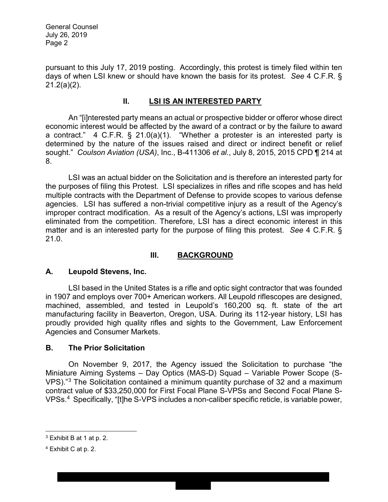General Counsel July 26, 2019 Page 2

pursuant to this July 17, 2019 posting. Accordingly, this protest is timely filed within ten days of when LSI knew or should have known the basis for its protest. *See* 4 C.F.R. § 21.2(a)(2).

#### **II. LSI IS AN INTERESTED PARTY**

An "[i]nterested party means an actual or prospective bidder or offeror whose direct economic interest would be affected by the award of a contract or by the failure to award a contract." 4 C.F.R. § 21.0(a)(1). "Whether a protester is an interested party is determined by the nature of the issues raised and direct or indirect benefit or relief sought." *Coulson Aviation (USA)*, Inc., B-411306 *et al.*, July 8, 2015, 2015 CPD ¶ 214 at 8.

LSI was an actual bidder on the Solicitation and is therefore an interested party for the purposes of filing this Protest. LSI specializes in rifles and rifle scopes and has held multiple contracts with the Department of Defense to provide scopes to various defense agencies. LSI has suffered a non-trivial competitive injury as a result of the Agency's improper contract modification. As a result of the Agency's actions, LSI was improperly eliminated from the competition. Therefore, LSI has a direct economic interest in this matter and is an interested party for the purpose of filing this protest. *See* 4 C.F.R. § 21.0.

#### **III. BACKGROUND**

#### **A. Leupold Stevens, Inc.**

LSI based in the United States is a rifle and optic sight contractor that was founded in 1907 and employs over 700+ American workers. All Leupold riflescopes are designed, machined, assembled, and tested in Leupold's 160,200 sq. ft. state of the art manufacturing facility in Beaverton, Oregon, USA. During its 112-year history, LSI has proudly provided high quality rifles and sights to the Government, Law Enforcement Agencies and Consumer Markets.

#### **B. The Prior Solicitation**

On November 9, 2017, the Agency issued the Solicitation to purchase "the Miniature Aiming Systems – Day Optics (MAS-D) Squad – Variable Power Scope (S-VPS)."[3](#page-1-0) The Solicitation contained a minimum quantity purchase of 32 and a maximum contract value of \$33,250,000 for First Focal Plane S-VPSs and Second Focal Plane S-VPSs.[4](#page-1-1) Specifically, "[t]he S-VPS includes a non-caliber specific reticle, is variable power,

 $\overline{a}$ 

<span id="page-1-0"></span><sup>3</sup> Exhibit B at 1 at p. 2.

<span id="page-1-1"></span><sup>4</sup> Exhibit C at p. 2.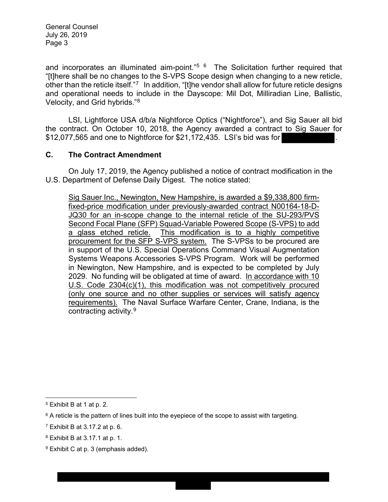General Counsel July 26, 2019 Page 3

and incorporates an illuminated aim-point." $5\,6\,$  $5\,6\,$  The Solicitation further required that "[t]here shall be no changes to the S-VPS Scope design when changing to a new reticle, other than the reticle itself."[7](#page-2-2) In addition, "[t]he vendor shall allow for future reticle designs and operational needs to include in the Dayscope: Mil Dot, Milliradian Line, Ballistic, Velocity, and Grid hybrids."[8](#page-2-3)

LSI, Lightforce USA d/b/a Nightforce Optics ("Nightforce"), and Sig Sauer all bid the contract. On October 10, 2018, the Agency awarded a contract to Sig Sauer for  $$12,077,565$  and one to Nightforce for  $$21,172,435$ . LSI's bid was for

#### **C. The Contract Amendment**

On July 17, 2019, the Agency published a notice of contract modification in the U.S. Department of Defense Daily Digest. The notice stated:

Sig Sauer Inc., Newington, New Hampshire, is awarded a \$9,338,800 firmfixed-price modification under previously-awarded contract N00164-18-D-JQ30 for an in-scope change to the internal reticle of the SU-293/PVS Second Focal Plane (SFP) Squad-Variable Powered Scope (S-VPS) to add a glass etched reticle. This modification is to a highly competitive procurement for the SFP S-VPS system. The S-VPSs to be procured are in support of the U.S. Special Operations Command Visual Augmentation Systems Weapons Accessories S-VPS Program. Work will be performed in Newington, New Hampshire, and is expected to be completed by July 2029. No funding will be obligated at time of award. In accordance with 10 U.S. Code 2304(c)(1), this modification was not competitively procured (only one source and no other supplies or services will satisfy agency requirements). The Naval Surface Warfare Center, Crane, Indiana, is the contracting activity.[9](#page-2-4)

<span id="page-2-0"></span> $\ddot{\phantom{a}}$ <sup>5</sup> Exhibit B at 1 at p. 2.

<span id="page-2-1"></span> $6$  A reticle is the pattern of lines built into the eyepiece of the scope to assist with targeting.

<span id="page-2-2"></span><sup>7</sup> Exhibit B at 3.17.2 at p. 6.

<span id="page-2-3"></span><sup>8</sup> Exhibit B at 3.17.1 at p. 1.

<span id="page-2-4"></span><sup>&</sup>lt;sup>9</sup> Exhibit C at p. 3 (emphasis added).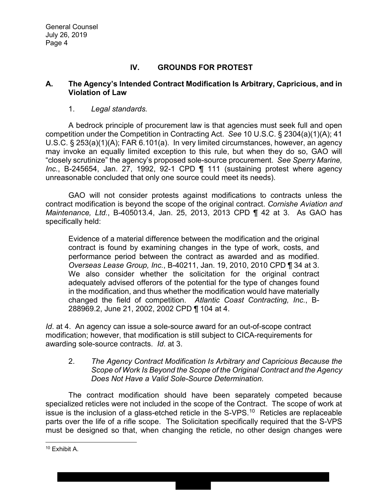# **IV. GROUNDS FOR PROTEST**

#### **A. The Agency's Intended Contract Modification Is Arbitrary, Capricious, and in Violation of Law**

#### 1. *Legal standards.*

A bedrock principle of procurement law is that agencies must seek full and open competition under the Competition in Contracting Act. *See* 10 U.S.C. § 2304(a)(1)(A); 41 U.S.C. § 253(a)(1)(A); FAR 6.101(a). In very limited circumstances, however, an agency may invoke an equally limited exception to this rule, but when they do so, GAO will "closely scrutinize" the agency's proposed sole-source procurement. *See Sperry Marine, Inc.*, B-245654, Jan. 27, 1992, 92-1 CPD ¶ 111 (sustaining protest where agency unreasonable concluded that only one source could meet its needs).

GAO will not consider protests against modifications to contracts unless the contract modification is beyond the scope of the original contract. *Cornishe Aviation and Maintenance, Ltd.*, B-405013.4, Jan. 25, 2013, 2013 CPD ¶ 42 at 3. As GAO has specifically held:

Evidence of a material difference between the modification and the original contract is found by examining changes in the type of work, costs, and performance period between the contract as awarded and as modified. *Overseas Lease Group, Inc.*, B-40211, Jan. 19, 2010, 2010 CPD ¶ 34 at 3. We also consider whether the solicitation for the original contract adequately advised offerors of the potential for the type of changes found in the modification, and thus whether the modification would have materially changed the field of competition. *Atlantic Coast Contracting, Inc.*, B-288969.2, June 21, 2002, 2002 CPD ¶ 104 at 4.

*Id*. at 4. An agency can issue a sole-source award for an out-of-scope contract modification; however, that modification is still subject to CICA-requirements for awarding sole-source contracts. *Id*. at 3.

#### 2. *The Agency Contract Modification Is Arbitrary and Capricious Because the Scope of Work Is Beyond the Scope of the Original Contract and the Agency Does Not Have a Valid Sole-Source Determination.*

The contract modification should have been separately competed because specialized reticles were not included in the scope of the Contract. The scope of work at issue is the inclusion of a glass-etched reticle in the S-VPS.<sup>10</sup> Reticles are replaceable parts over the life of a rifle scope. The Solicitation specifically required that the S-VPS must be designed so that, when changing the reticle, no other design changes were

<span id="page-3-0"></span> $\ddot{\phantom{a}}$ <sup>10</sup> Exhibit A.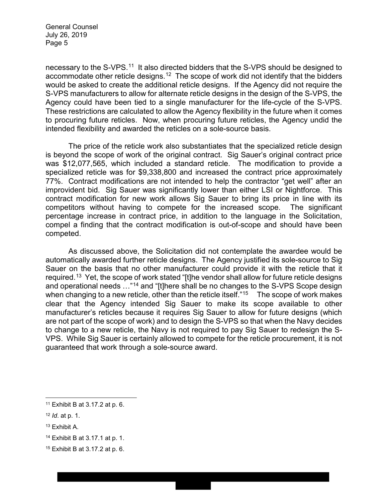General Counsel July 26, 2019 Page 5

necessary to the S-VPS.<sup>11</sup> It also directed bidders that the S-VPS should be designed to accommodate other reticle designs.<sup>[12](#page-4-1)</sup> The scope of work did not identify that the bidders would be asked to create the additional reticle designs. If the Agency did not require the S-VPS manufacturers to allow for alternate reticle designs in the design of the S-VPS, the Agency could have been tied to a single manufacturer for the life-cycle of the S-VPS. These restrictions are calculated to allow the Agency flexibility in the future when it comes to procuring future reticles. Now, when procuring future reticles, the Agency undid the intended flexibility and awarded the reticles on a sole-source basis.

The price of the reticle work also substantiates that the specialized reticle design is beyond the scope of work of the original contract. Sig Sauer's original contract price was \$12,077,565, which included a standard reticle. The modification to provide a specialized reticle was for \$9,338,800 and increased the contract price approximately 77%. Contract modifications are not intended to help the contractor "get well" after an improvident bid. Sig Sauer was significantly lower than either LSI or Nightforce. This contract modification for new work allows Sig Sauer to bring its price in line with its competitors without having to compete for the increased scope. The significant percentage increase in contract price, in addition to the language in the Solicitation, compel a finding that the contract modification is out-of-scope and should have been competed.

As discussed above, the Solicitation did not contemplate the awardee would be automatically awarded further reticle designs. The Agency justified its sole-source to Sig Sauer on the basis that no other manufacturer could provide it with the reticle that it required.<sup>13</sup> Yet, the scope of work stated "[t]he vendor shall allow for future reticle designs and operational needs …"[14](#page-4-3) and "[t]here shall be no changes to the S-VPS Scope design when changing to a new reticle, other than the reticle itself."<sup>15</sup> The scope of work makes clear that the Agency intended Sig Sauer to make its scope available to other manufacturer's reticles because it requires Sig Sauer to allow for future designs (which are not part of the scope of work) and to design the S-VPS so that when the Navy decides to change to a new reticle, the Navy is not required to pay Sig Sauer to redesign the S-VPS. While Sig Sauer is certainly allowed to compete for the reticle procurement, it is not guaranteed that work through a sole-source award.

<span id="page-4-0"></span> $\ddot{\phantom{a}}$ <sup>11</sup> Exhibit B at 3.17.2 at p. 6.

<span id="page-4-1"></span><sup>12</sup> *Id*. at p. 1.

<span id="page-4-2"></span><sup>13</sup> Exhibit A.

<span id="page-4-3"></span><sup>14</sup> Exhibit B at 3.17.1 at p. 1.

<span id="page-4-4"></span><sup>15</sup> Exhibit B at 3.17.2 at p. 6.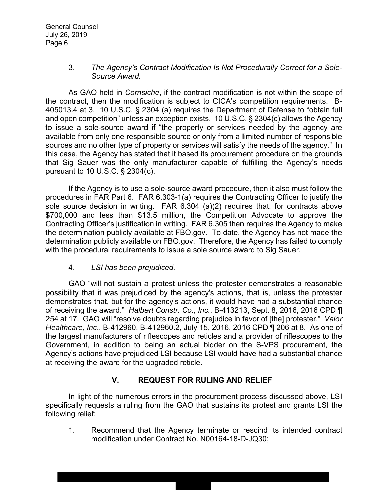#### 3. *The Agency's Contract Modification Is Not Procedurally Correct for a Sole-Source Award.*

As GAO held in *Cornsiche*, if the contract modification is not within the scope of the contract, then the modification is subject to CICA's competition requirements. B-405013.4 at 3. 10 U.S.C. § 2304 (a) requires the Department of Defense to "obtain full and open competition" unless an exception exists. 10 U.S.C. § 2304(c) allows the Agency to issue a sole-source award if "the property or services needed by the agency are available from only one responsible source or only from a limited number of responsible sources and no other type of property or services will satisfy the needs of the agency." In this case, the Agency has stated that it based its procurement procedure on the grounds that Sig Sauer was the only manufacturer capable of fulfilling the Agency's needs pursuant to 10 U.S.C. § 2304(c).

If the Agency is to use a sole-source award procedure, then it also must follow the procedures in FAR Part 6. FAR 6.303-1(a) requires the Contracting Officer to justify the sole source decision in writing. FAR 6.304 (a)(2) requires that, for contracts above \$700,000 and less than \$13.5 million, the Competition Advocate to approve the Contracting Officer's justification in writing. FAR 6.305 then requires the Agency to make the determination publicly available at FBO.gov. To date, the Agency has not made the determination publicly available on FBO.gov. Therefore, the Agency has failed to comply with the procedural requirements to issue a sole source award to Sig Sauer.

#### 4. *LSI has been prejudiced.*

GAO "will not sustain a protest unless the protester demonstrates a reasonable possibility that it was prejudiced by the agency's actions, that is, unless the protester demonstrates that, but for the agency's actions, it would have had a substantial chance of receiving the award." *Halbert Constr. Co., Inc.*, B-413213, Sept. 8, 2016, 2016 CPD ¶ 254 at 17. GAO will "resolve doubts regarding prejudice in favor of [the] protester." *Valor Healthcare, Inc*., B-412960, B-412960.2, July 15, 2016, 2016 CPD ¶ 206 at 8. As one of the largest manufacturers of riflescopes and reticles and a provider of riflescopes to the Government, in addition to being an actual bidder on the S-VPS procurement, the Agency's actions have prejudiced LSI because LSI would have had a substantial chance at receiving the award for the upgraded reticle.

# **V. REQUEST FOR RULING AND RELIEF**

In light of the numerous errors in the procurement process discussed above, LSI specifically requests a ruling from the GAO that sustains its protest and grants LSI the following relief:

1. Recommend that the Agency terminate or rescind its intended contract modification under Contract No. N00164-18-D-JQ30;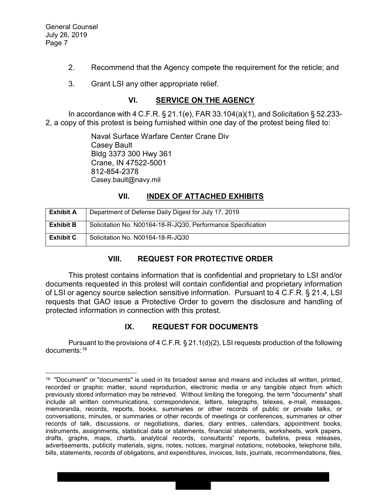$\overline{a}$ 

- 2. Recommend that the Agency compete the requirement for the reticle; and
- 3. Grant LSI any other appropriate relief.

### **VI. SERVICE ON THE AGENCY**

In accordance with 4 C.F.R. § 21.1(e), FAR 33.104(a)(1), and Solicitation § 52.233- 2, a copy of this protest is being furnished within one day of the protest being filed to:

> Naval Surface Warfare Center Crane Div Casey Bault Bldg 3373 300 Hwy 361 Crane, IN 47522-5001 812-854-2378 Casey.bault@navy.mil

# **VII. INDEX OF ATTACHED EXHIBITS**

| <b>Exhibit A</b> | Department of Defense Daily Digest for July 17, 2019         |
|------------------|--------------------------------------------------------------|
| <b>Exhibit B</b> | Solicitation No. N00164-18-R-JQ30, Performance Specification |
| <b>Exhibit C</b> | Solicitation No. N00164-18-R-JQ30                            |

# **VIII. REQUEST FOR PROTECTIVE ORDER**

This protest contains information that is confidential and proprietary to LSI and/or documents requested in this protest will contain confidential and proprietary information of LSI or agency source selection sensitive information. Pursuant to 4 C.F.R. § 21.4, LSI requests that GAO issue a Protective Order to govern the disclosure and handling of protected information in connection with this protest.

# **IX. REQUEST FOR DOCUMENTS**

Pursuant to the provisions of 4 C.F.R. § 21.1(d)(2), LSI requests production of the following documents: [16](#page-6-0)

<span id="page-6-0"></span> $16$  "Document" or "documents" is used in its broadest sense and means and includes all written, printed, recorded or graphic matter, sound reproduction, electronic media or any tangible object from which previously stored information may be retrieved. Without limiting the foregoing, the term "documents" shall include all written communications, correspondence, letters, telegraphs, telexes, e-mail, messages, memoranda, records, reports, books, summaries or other records of public or private talks, or conversations, minutes, or summaries or other records of meetings or conferences, summaries or other records of talk, discussions, or negotiations, diaries, diary entries, calendars, appointment books, instruments, assignments, statistical data or statements, financial statements, worksheets, work papers, drafts, graphs, maps, charts, analytical records, consultants' reports, bulletins, press releases, advertisements, publicity materials, signs, notes, notices, marginal notations, notebooks, telephone bills, bills, statements, records of obligations, and expenditures, invoices, lists, journals, recommendations, files,